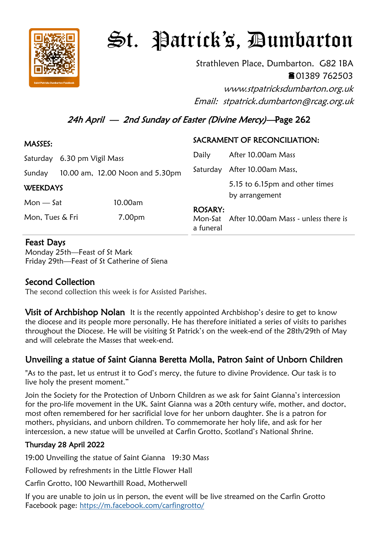

# St. Patrick's, Dumbarton

Strathleven Place, Dumbarton. G82 1BA 01389 762503

www.stpatricksdumbarton.org.uk Email: stpatrick.dumbarton@rcag.org.uk

# 24h April — 2nd Sunday of Easter (Divine Mercy)—Page 262

| MASSES:                     |  |                                 | SACRAMENT OF RECONCILIATION: |                                                  |
|-----------------------------|--|---------------------------------|------------------------------|--------------------------------------------------|
| Saturday 6.30 pm Vigil Mass |  |                                 | Daily                        | After 10.00am Mass                               |
| Sunday                      |  | 10.00 am, 12.00 Noon and 5.30pm | Saturday                     | After 10.00am Mass,                              |
| <b>WEEKDAYS</b>             |  |                                 |                              | 5.15 to 6.15pm and other times<br>by arrangement |
| $Mon - Sat$                 |  | 10.00am                         |                              |                                                  |
| Mon, Tues & Fri             |  | 7.00pm                          | <b>ROSARY:</b><br>a funeral  | Mon-Sat After 10.00am Mass - unless there is     |

### Feast Days

Monday 25th—Feast of St Mark Friday 29th—Feast of St Catherine of Siena

## Second Collection

The second collection this week is for Assisted Parishes.

**Visit of Archbishop Nolan** It is the recently appointed Archbishop's desire to get to know the diocese and its people more personally. He has therefore initiated a series of visits to parishes throughout the Diocese. He will be visiting St Patrick's on the week-end of the 28th/29th of May and will celebrate the Masses that week-end.

# Unveiling a statue of Saint Gianna Beretta Molla, Patron Saint of Unborn Children

"As to the past, let us entrust it to God's mercy, the future to divine Providence. Our task is to live holy the present moment."

Join the Society for the Protection of Unborn Children as we ask for Saint Gianna's intercession for the pro-life movement in the UK. Saint Gianna was a 20th century wife, mother, and doctor, most often remembered for her sacrificial love for her unborn daughter. She is a patron for mothers, physicians, and unborn children. To commemorate her holy life, and ask for her intercession, a new statue will be unveiled at Carfin Grotto, Scotland's National Shrine.

#### Thursday 28 April 2022

19:00 Unveiling the statue of Saint Gianna 19:30 Mass

Followed by refreshments in the Little Flower Hall

Carfin Grotto, 100 Newarthill Road, Motherwell

If you are unable to join us in person, the event will be live streamed on the Carfin Grotto Facebook page: <https://m.facebook.com/carfingrotto/>